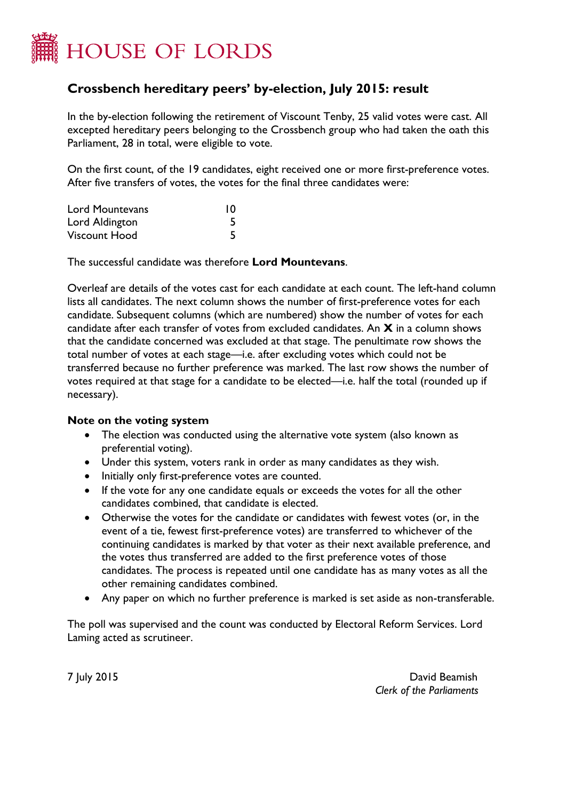

## **Crossbench hereditary peers' by-election, July 2015: result**

In the by-election following the retirement of Viscount Tenby, 25 valid votes were cast. All excepted hereditary peers belonging to the Crossbench group who had taken the oath this Parliament, 28 in total, were eligible to vote.

On the first count, of the 19 candidates, eight received one or more first-preference votes. After five transfers of votes, the votes for the final three candidates were:

| <b>Lord Mountevans</b> | 10 |
|------------------------|----|
| Lord Aldington         | 5  |
| Viscount Hood          | 5  |

The successful candidate was therefore **Lord Mountevans**.

Overleaf are details of the votes cast for each candidate at each count. The left-hand column lists all candidates. The next column shows the number of first-preference votes for each candidate. Subsequent columns (which are numbered) show the number of votes for each candidate after each transfer of votes from excluded candidates. An **X** in a column shows that the candidate concerned was excluded at that stage. The penultimate row shows the total number of votes at each stage—i.e. after excluding votes which could not be transferred because no further preference was marked. The last row shows the number of votes required at that stage for a candidate to be elected—i.e. half the total (rounded up if necessary).

## **Note on the voting system**

- The election was conducted using the alternative vote system (also known as preferential voting).
- Under this system, voters rank in order as many candidates as they wish.
- Initially only first-preference votes are counted.
- If the vote for any one candidate equals or exceeds the votes for all the other candidates combined, that candidate is elected.
- Otherwise the votes for the candidate or candidates with fewest votes (or, in the event of a tie, fewest first-preference votes) are transferred to whichever of the continuing candidates is marked by that voter as their next available preference, and the votes thus transferred are added to the first preference votes of those candidates. The process is repeated until one candidate has as many votes as all the other remaining candidates combined.
- Any paper on which no further preference is marked is set aside as non-transferable.

The poll was supervised and the count was conducted by Electoral Reform Services. Lord Laming acted as scrutineer.

7 July 2015 David Beamish *Clerk of the Parliaments*